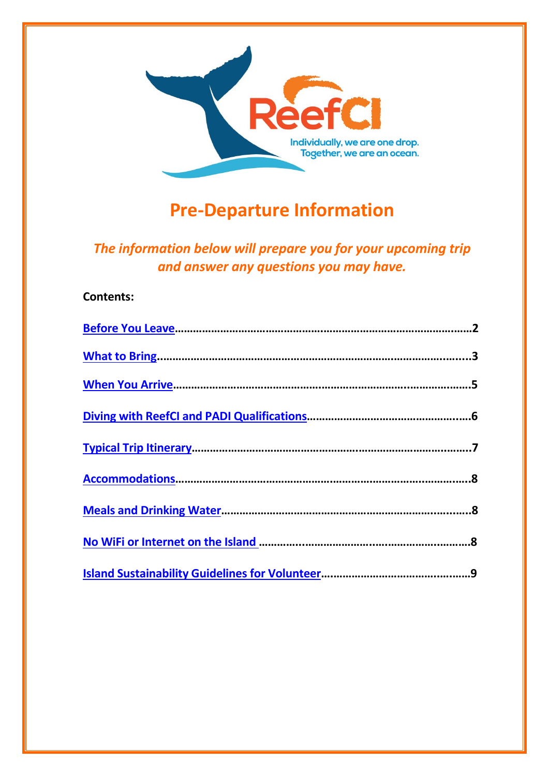

# **Pre-Departure Information**

*The information below will prepare you for your upcoming trip and answer any questions you may have.*

# **Contents:**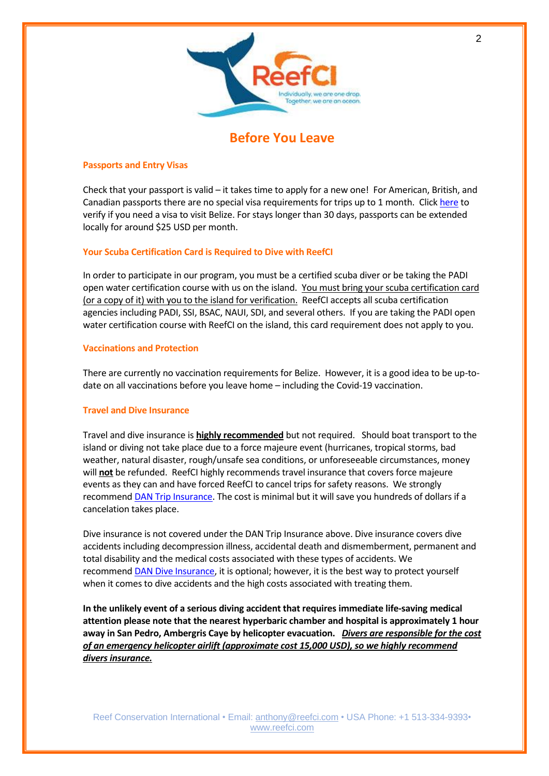

# **Before You Leave**

### <span id="page-1-0"></span>**Passports and Entry Visas**

Check that your passport is valid – it takes time to apply for a new one! For American, British, and Canadian passports there are no special visa requirements for trips up to 1 month. Click [here](https://immigration.gov.bz/visa/visa-who-qualify/) to verify if you need a visa to visit Belize. For stays longer than 30 days, passports can be extended locally for around \$25 USD per month.

# **Your Scuba Certification Card is Required to Dive with ReefCI**

In order to participate in our program, you must be a certified scuba diver or be taking the PADI open water certification course with us on the island. You must bring your scuba certification card (or a copy of it) with you to the island for verification. ReefCI accepts all scuba certification agencies including PADI, SSI, BSAC, NAUI, SDI, and several others. If you are taking the PADI open water certification course with ReefCI on the island, this card requirement does not apply to you.

### **Vaccinations and Protection**

There are currently no vaccination requirements for Belize. However, it is a good idea to be up-todate on all vaccinations before you leave home – including the Covid-19 vaccination.

### **Travel and Dive Insurance**

Travel and dive insurance is **highly recommended** but not required. Should boat transport to the island or diving not take place due to a force majeure event (hurricanes, tropical storms, bad weather, natural disaster, rough/unsafe sea conditions, or unforeseeable circumstances, money will **not** be refunded. ReefCI highly recommends travel insurance that covers force majeure events as they can and have forced ReefCI to cancel trips for safety reasons. We strongly recommend DAN Trip [Insurance.](https://apps.dan.org/trip-insurance/?rc=2992125) The cost is minimal but it will save you hundreds of dollars if a cancelation takes place.

Dive insurance is not covered under the DAN Trip Insurance above. Dive insurance covers dive accidents including decompression illness, accidental death and dismemberment, permanent and total disability and the medical costs associated with these types of accidents. We recommend [DAN Dive Insurance,](https://apps.dan.org/scuba-dive-insurance/?rc=2992125) it is optional; however, it is the best way to protect yourself when it comes to dive accidents and the high costs associated with treating them.

**In the unlikely event of a serious diving accident that requires immediate life-saving medical attention please note that the nearest hyperbaric chamber and hospital is approximately 1 hour away in San Pedro, Ambergris Caye by helicopter evacuation.** *Divers are responsible for the cost of an emergency helicopter airlift (approximate cost 15,000 USD), so we highly recommend divers insurance.*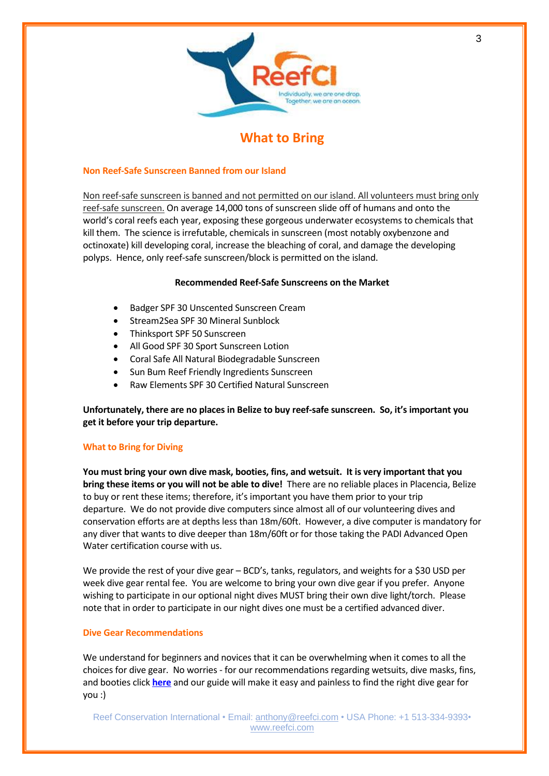

# **What to Bring**

### <span id="page-2-0"></span>**Non Reef-Safe Sunscreen Banned from our Island**

Non reef-safe sunscreen is banned and not permitted on our island. All volunteers must bring only reef-safe sunscreen. On average 14,000 tons of sunscreen slide off of humans and onto the world's coral reefs each year, exposing these gorgeous underwater ecosystems to chemicals that kill them. The science is irrefutable, chemicals in sunscreen (most notably oxybenzone and octinoxate) kill developing coral, increase the bleaching of coral, and damage the developing polyps. Hence, only reef-safe sunscreen/block is permitted on the island.

### **Recommended Reef-Safe Sunscreens on the Market**

- Badger SPF 30 Unscented Sunscreen Cream
- Stream2Sea SPF 30 Mineral Sunblock
- Thinksport SPF 50 Sunscreen
- All Good SPF 30 Sport Sunscreen Lotion
- Coral Safe All Natural Biodegradable Sunscreen
- Sun Bum Reef Friendly Ingredients Sunscreen
- Raw Elements SPF 30 Certified Natural Sunscreen

**Unfortunately, there are no places in Belize to buy reef-safe sunscreen. So, it's important you get it before your trip departure.**

# **What to Bring for Diving**

**You must bring your own dive mask, booties, fins, and wetsuit. It is very important that you bring these items or you will not be able to dive!** There are no reliable places in Placencia, Belize to buy or rent these items; therefore, it's important you have them prior to your trip departure. We do not provide dive computers since almost all of our volunteering dives and conservation efforts are at depths less than 18m/60ft. However, a dive computer is mandatory for any diver that wants to dive deeper than 18m/60ft or for those taking the PADI Advanced Open Water certification course with us.

We provide the rest of your dive gear – BCD's, tanks, regulators, and weights for a \$30 USD per week dive gear rental fee. You are welcome to bring your own dive gear if you prefer. Anyone wishing to participate in our optional night dives MUST bring their own dive light/torch. Please note that in order to participate in our night dives one must be a certified advanced diver.

### **Dive Gear Recommendations**

We understand for beginners and novices that it can be overwhelming when it comes to all the choices for dive gear. No worries - for our recommendations regarding wetsuits, dive masks, fins, and booties click **[here](https://reefci.com/dive-gear-recommendations-and-diving-questions/)** and our guide will make it easy and painless to find the right dive gear for you :)

Reef Conservation International • Email: [anthony@reefci.com](mailto:anthony@reefci.com) • USA Phone: +1 513-334-9393• [www.reefci.com](http://www.reefci.com/)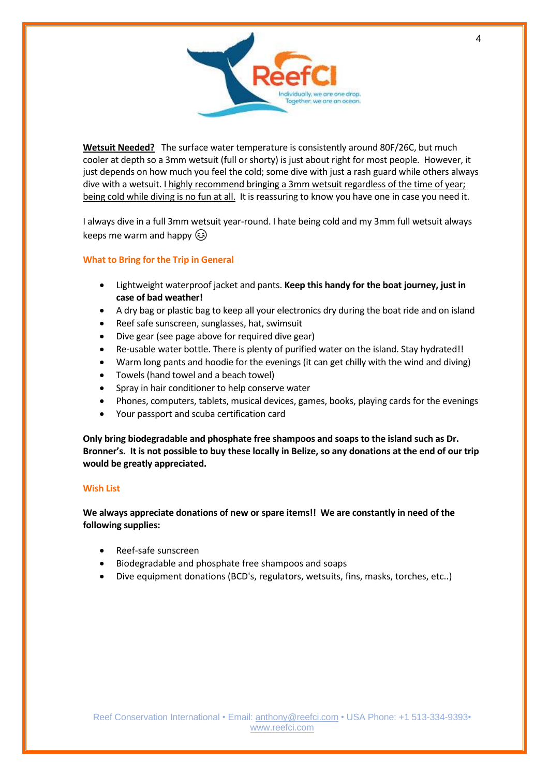

**Wetsuit Needed?** The surface water temperature is consistently around 80F/26C, but much cooler at depth so a 3mm wetsuit (full or shorty) is just about right for most people. However, it just depends on how much you feel the cold; some dive with just a rash guard while others always dive with a wetsuit. <u>I highly recommend bringing a 3mm wetsuit regardless of the time of year;</u> being cold while diving is no fun at all. It is reassuring to know you have one in case you need it.

I always dive in a full 3mm wetsuit year-round. I hate being cold and my 3mm full wetsuit always keeps me warm and happy  $\circled{e}$ 

# **What to Bring for the Trip in General**

- Lightweight waterproof jacket and pants. **Keep this handy for the boat journey, just in case of bad weather!**
- A dry bag or plastic bag to keep all your electronics dry during the boat ride and on island
- Reef safe sunscreen, sunglasses, hat, swimsuit
- Dive gear (see page above for required dive gear)
- Re-usable water bottle. There is plenty of purified water on the island. Stay hydrated!!
- Warm long pants and hoodie for the evenings (it can get chilly with the wind and diving)
- Towels (hand towel and a beach towel)
- Spray in hair conditioner to help conserve water
- Phones, computers, tablets, musical devices, games, books, playing cards for the evenings
- Your passport and scuba certification card

**Only bring biodegradable and phosphate free shampoos and soaps to the island such as Dr. Bronner's. It is not possible to buy these locally in Belize, so any donations at the end of our trip would be greatly appreciated.** 

### **Wish List**

**We always appreciate donations of new or spare items!! We are constantly in need of the following supplies:** 

- Reef-safe sunscreen
- Biodegradable and phosphate free shampoos and soaps
- Dive equipment donations (BCD's, regulators, wetsuits, fins, masks, torches, etc..)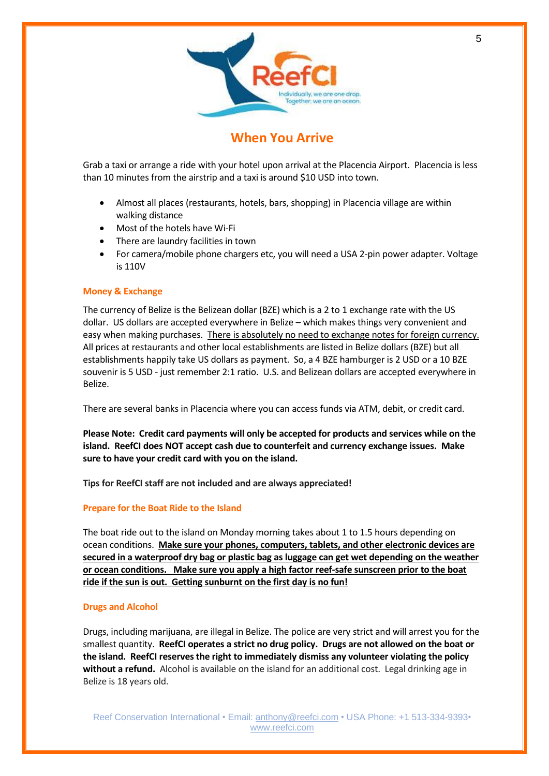

# **When You Arrive**

<span id="page-4-0"></span>Grab a taxi or arrange a ride with your hotel upon arrival at the Placencia Airport. Placencia is less than 10 minutes from the airstrip and a taxi is around \$10 USD into town.

- Almost all places (restaurants, hotels, bars, shopping) in Placencia village are within walking distance
- Most of the hotels have Wi-Fi
- There are laundry facilities in town
- For camera/mobile phone chargers etc, you will need a USA 2-pin power adapter. Voltage is 110V

### **Money & Exchange**

The currency of Belize is the Belizean dollar (BZE) which is a 2 to 1 exchange rate with the US dollar. US dollars are accepted everywhere in Belize – which makes things very convenient and easy when making purchases. There is absolutely no need to exchange notes for foreign currency. All prices at restaurants and other local establishments are listed in Belize dollars (BZE) but all establishments happily take US dollars as payment. So, a 4 BZE hamburger is 2 USD or a 10 BZE souvenir is 5 USD - just remember 2:1 ratio. U.S. and Belizean dollars are accepted everywhere in Belize.

There are several banks in Placencia where you can access funds via ATM, debit, or credit card.

**Please Note: Credit card payments will only be accepted for products and services while on the island. ReefCI does NOT accept cash due to counterfeit and currency exchange issues. Make sure to have your credit card with you on the island.** 

**Tips for ReefCI staff are not included and are always appreciated!**

### **Prepare for the Boat Ride to the Island**

The boat ride out to the island on Monday morning takes about 1 to 1.5 hours depending on ocean conditions. **Make sure your phones, computers, tablets, and other electronic devices are secured in a waterproof dry bag or plastic bag as luggage can get wet depending on the weather or ocean conditions. Make sure you apply a high factor reef-safe sunscreen prior to the boat ride if the sun is out. Getting sunburnt on the first day is no fun!** 

### **Drugs and Alcohol**

Drugs, including marijuana, are illegal in Belize. The police are very strict and will arrest you for the smallest quantity. **ReefCI operates a strict no drug policy. Drugs are not allowed on the boat or the island. ReefCI reserves the right to immediately dismiss any volunteer violating the policy without a refund.** Alcohol is available on the island for an additional cost. Legal drinking age in Belize is 18 years old.

Reef Conservation International • Email: [anthony@reefci.com](mailto:anthony@reefci.com) • USA Phone: +1 513-334-9393• [www.reefci.com](http://www.reefci.com/)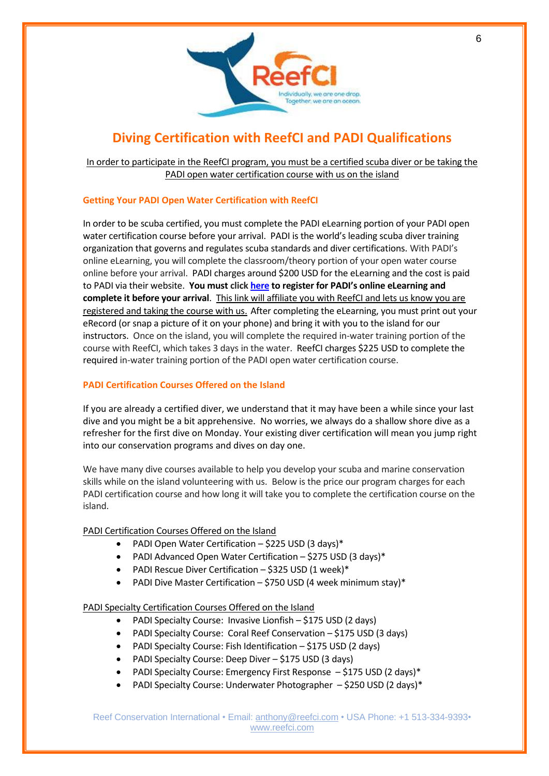

# **Diving Certification with ReefCI and PADI Qualifications**

<span id="page-5-0"></span>In order to participate in the ReefCI program, you must be a certified scuba diver or be taking the PADI open water certification course with us on the island

# **Getting Your PADI Open Water Certification with ReefCI**

In order to be scuba certified, you must complete the PADI eLearning portion of your PADI open water certification course before your arrival. PADI is the world's leading scuba diver training organization that governs and regulates scuba standards and diver certifications. With PADI's online eLearning, you will complete the classroom/theory portion of your open water course online before your arrival. PADI charges around \$200 USD for the eLearning and the cost is paid to PADI via their website. **You must clic[k here](https://apps.padi.com/scuba-diving/elearning/?irra=27096) to register for PADI's online eLearning and complete it before your arrival**. This link will affiliate you with ReefCI and lets us know you are registered and taking the course with us. After completing the eLearning, you must print out your eRecord (or snap a picture of it on your phone) and bring it with you to the island for our instructors. Once on the island, you will complete the required in-water training portion of the course with ReefCI, which takes 3 days in the water. ReefCI charges \$225 USD to complete the required in-water training portion of the PADI open water certification course.

# **PADI Certification Courses Offered on the Island**

If you are already a certified diver, we understand that it may have been a while since your last dive and you might be a bit apprehensive. No worries, we always do a shallow shore dive as a refresher for the first dive on Monday. Your existing diver certification will mean you jump right into our conservation programs and dives on day one.

We have many dive courses available to help you develop your scuba and marine conservation skills while on the island volunteering with us. Below is the price our program charges for each PADI certification course and how long it will take you to complete the certification course on the island.

# PADI Certification Courses Offered on the Island

- PADI Open Water Certification \$225 USD (3 days)\*
- PADI Advanced Open Water Certification \$275 USD (3 days)\*
- PADI Rescue Diver Certification \$325 USD (1 week)\*
- PADI Dive Master Certification \$750 USD (4 week minimum stay)\*

# PADI Specialty Certification Courses Offered on the Island

- PADI Specialty Course: Invasive Lionfish \$175 USD (2 days)
- PADI Specialty Course: Coral Reef Conservation \$175 USD (3 days)
- PADI Specialty Course: Fish Identification \$175 USD (2 days)
- PADI Specialty Course: Deep Diver \$175 USD (3 days)
- PADI Specialty Course: Emergency First Response \$175 USD (2 days)\*
- PADI Specialty Course: Underwater Photographer \$250 USD (2 days)\*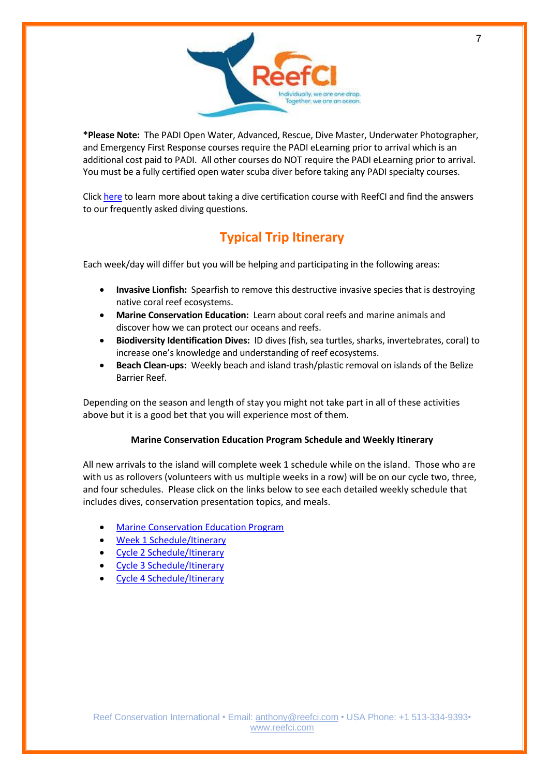

**\*Please Note:** The PADI Open Water, Advanced, Rescue, Dive Master, Underwater Photographer, and Emergency First Response courses require the PADI eLearning prior to arrival which is an additional cost paid to PADI. All other courses do NOT require the PADI eLearning prior to arrival. You must be a fully certified open water scuba diver before taking any PADI specialty courses.

Click [here](https://reefci.com/diving-certification-courses-and-general-diving-questions/) to learn more about taking a dive certification course with ReefCI and find the answers to our frequently asked diving questions.

# **Typical Trip Itinerary**

<span id="page-6-0"></span>Each week/day will differ but you will be helping and participating in the following areas:

- **Invasive Lionfish:** Spearfish to remove this destructive invasive species that is destroying native coral reef ecosystems.
- **Marine Conservation Education:** Learn about coral reefs and marine animals and discover how we can protect our oceans and reefs.
- **Biodiversity Identification Dives:** ID dives (fish, sea turtles, sharks, invertebrates, coral) to increase one's knowledge and understanding of reef ecosystems.
- **Beach Clean-ups:** Weekly beach and island trash/plastic removal on islands of the Belize Barrier Reef.

Depending on the season and length of stay you might not take part in all of these activities above but it is a good bet that you will experience most of them.

# **Marine Conservation Education Program Schedule and Weekly Itinerary**

All new arrivals to the island will complete week 1 schedule while on the island. Those who are with us as rollovers (volunteers with us multiple weeks in a row) will be on our cycle two, three, and four schedules. Please click on the links below to see each detailed weekly schedule that includes dives, conservation presentation topics, and meals.

- [Marine Conservation Education Program](https://fh-sites.imgix.net/sites/439/2020/10/15210900/Marine-Conservation-Program.png)
- [Week 1 Schedule/Itinerary](https://fh-sites.imgix.net/sites/439/2020/10/31204633/Week-1-Schedule.png)
- [Cycle 2 Schedule/Itinerary](https://fh-sites.imgix.net/sites/439/2020/11/06203840/Cycle-2-Schedule.png)
- [Cycle 3 Schedule/Itinerary](https://fh-sites.imgix.net/sites/439/2020/11/06203852/Cycle-3-Schedule.png)
- [Cycle 4 Schedule/Itinerary](https://fh-sites.imgix.net/sites/439/2020/11/06203902/Cycle-4-Schedule.png)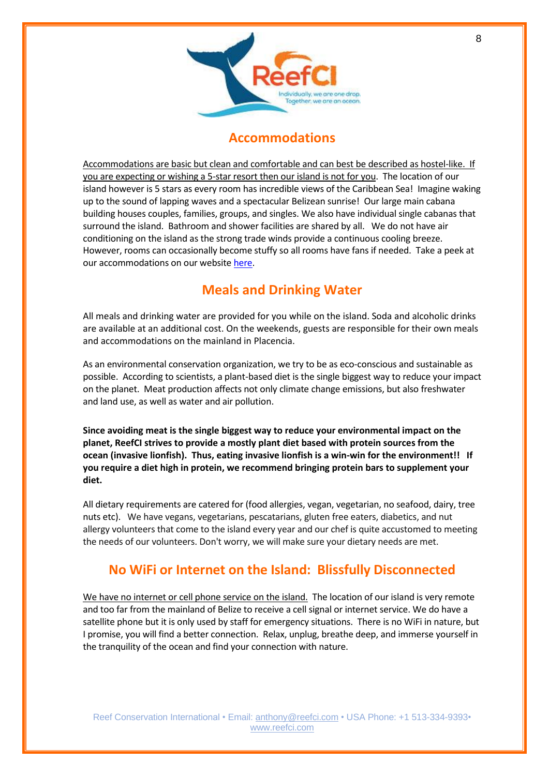

# <span id="page-7-1"></span>**Accommodations**

<span id="page-7-0"></span>Accommodations are basic but clean and comfortable and can best be described as hostel-like. If you are expecting or wishing a 5-star resort then our island is not for you. The location of our island however is 5 stars as every room has incredible views of the Caribbean Sea! Imagine waking up to the sound of lapping waves and a spectacular Belizean sunrise! Our large main cabana building houses couples, families, groups, and singles. We also have individual single cabanas that surround the island. Bathroom and shower facilities are shared by all. We do not have air conditioning on the island as the strong trade winds provide a continuous cooling breeze. However, rooms can occasionally become stuffy so all rooms have fans if needed. Take a peek at our accommodations on our website [here.](https://reefci.com/island-accommodation/)

# **Meals and Drinking Water**

All meals and drinking water are provided for you while on the island. Soda and alcoholic drinks are available at an additional cost. On the weekends, guests are responsible for their own meals and accommodations on the mainland in Placencia.

As an environmental conservation organization, we try to be as eco-conscious and sustainable as possible. According to scientists, a plant-based diet is the single biggest way to reduce your impact on the planet. Meat production affects not only climate change emissions, but also freshwater and land use, as well as water and air pollution.

**Since avoiding meat is the single biggest way to reduce your environmental impact on the planet, ReefCI strives to provide a mostly plant diet based with protein sources from the ocean (invasive lionfish). Thus, eating invasive lionfish is a win-win for the environment!! If you require a diet high in protein, we recommend bringing protein bars to supplement your diet.**

All dietary requirements are catered for (food allergies, vegan, vegetarian, no seafood, dairy, tree nuts etc). We have vegans, vegetarians, pescatarians, gluten free eaters, diabetics, and nut allergy volunteers that come to the island every year and our chef is quite accustomed to meeting the needs of our volunteers. Don't worry, we will make sure your dietary needs are met.

# <span id="page-7-2"></span>**No WiFi or Internet on the Island: Blissfully Disconnected**

We have no internet or cell phone service on the island. The location of our island is very remote and too far from the mainland of Belize to receive a cell signal or internet service. We do have a satellite phone but it is only used by staff for emergency situations. There is no WiFi in nature, but I promise, you will find a better connection. Relax, unplug, breathe deep, and immerse yourself in the tranquility of the ocean and find your connection with nature.